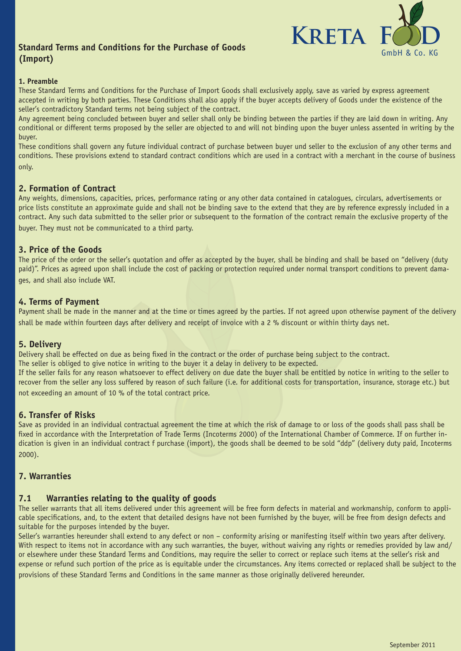# **(Import)**



## **1. Preamble**

These Standard Terms and Conditions for the Purchase of Import Goods shall exclusively apply, save as varied by express agreement accepted in writing by both parties. These Conditions shall also apply if the buyer accepts delivery of Goods under the existence of the seller's contradictory Standard terms not being subject of the contract.

Any agreement being concluded between buyer and seller shall only be binding between the parties if they are laid down in writing. Any conditional or different terms proposed by the seller are objected to and will not binding upon the buyer unless assented in writing by the buyer.

These conditions shall govern any future individual contract of purchase between buyer und seller to the exclusion of any other terms and conditions. These provisions extend to standard contract conditions which are used in a contract with a merchant in the course of business only.

## **2. Formation of Contract**

Any weights, dimensions, capacities, prices, performance rating or any other data contained in catalogues, circulars, advertisements or price lists constitute an approximate guide and shall not be binding save to the extend that they are by reference expressly included in a contract. Any such data submitted to the seller prior or subsequent to the formation of the contract remain the exclusive property of the buyer. They must not be communicated to a third party.

## **3. Price of the Goods**

The price of the order or the seller's quotation and offer as accepted by the buyer, shall be binding and shall be based on "delivery (duty paid)". Prices as agreed upon shall include the cost of packing or protection required under normal transport conditions to prevent damages, and shall also include VAT.

## **4. Terms of Payment**

Payment shall be made in the manner and at the time or times agreed by the parties. If not agreed upon otherwise payment of the delivery shall be made within fourteen days after delivery and receipt of invoice with a 2 % discount or within thirty days net.

## **5. Delivery**

Delivery shall be effected on due as being fixed in the contract or the order of purchase being subject to the contract.

The seller is obliged to give notice in writing to the buyer it a delay in delivery to be expected.

If the seller fails for any reason whatsoever to effect delivery on due date the buyer shall be entitled by notice in writing to the seller to recover from the seller any loss suffered by reason of such failure (i.e. for additional costs for transportation, insurance, storage etc.) but not exceeding an amount of 10 % of the total contract price.

## **6. Transfer of Risks**

Save as provided in an individual contractual agreement the time at which the risk of damage to or loss of the goods shall pass shall be fixed in accordance with the Interpretation of Trade Terms (Incoterms 2000) of the International Chamber of Commerce. If on further indication is given in an individual contract f purchase (import), the goods shall be deemed to be sold "ddp" (delivery duty paid, Incoterms 2000).

## **7. Warranties**

## **7.1 Warranties relating to the quality of goods**

The seller warrants that all items delivered under this agreement will be free form defects in material and workmanship, conform to applicable specifications, and, to the extent that detailed designs have not been furnished by the buyer, will be free from design defects and suitable for the purposes intended by the buyer.

Seller's warranties hereunder shall extend to any defect or non – conformity arising or manifesting itself within two years after delivery. With respect to items not in accordance with any such warranties, the buyer, without waiving any rights or remedies provided by law and/ or elsewhere under these Standard Terms and Conditions, may require the seller to correct or replace such items at the seller's risk and expense or refund such portion of the price as is equitable under the circumstances. Any items corrected or replaced shall be subject to the provisions of these Standard Terms and Conditions in the same manner as those originally delivered hereunder.